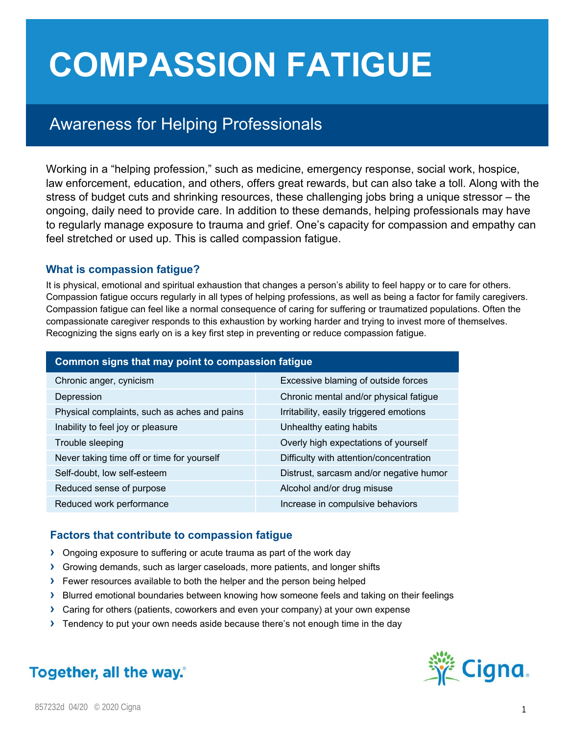# **COMPASSION FATIGUE**

# Awareness for Helping Professionals

Working in a "helping profession," such as medicine, emergency response, social work, hospice, law enforcement, education, and others, offers great rewards, but can also take a toll. Along with the stress of budget cuts and shrinking resources, these challenging jobs bring a unique stressor – the ongoing, daily need to provide care. In addition to these demands, helping professionals may have to regularly manage exposure to trauma and grief. One's capacity for compassion and empathy can feel stretched or used up. This is called compassion fatigue.

### **What is compassion fatigue?**

It is physical, emotional and spiritual exhaustion that changes a person's ability to feel happy or to care for others. Compassion fatigue occurs regularly in all types of helping professions, as well as being a factor for family caregivers. Compassion fatigue can feel like a normal consequence of caring for suffering or traumatized populations. Often the compassionate caregiver responds to this exhaustion by working harder and trying to invest more of themselves. Recognizing the signs early on is a key first step in preventing or reduce compassion fatigue.

| Common signs that may point to compassion fatigue |                                         |
|---------------------------------------------------|-----------------------------------------|
| Chronic anger, cynicism                           | Excessive blaming of outside forces     |
| Depression                                        | Chronic mental and/or physical fatigue  |
| Physical complaints, such as aches and pains      | Irritability, easily triggered emotions |
| Inability to feel joy or pleasure                 | Unhealthy eating habits                 |
| Trouble sleeping                                  | Overly high expectations of yourself    |
| Never taking time off or time for yourself        | Difficulty with attention/concentration |
| Self-doubt, low self-esteem                       | Distrust, sarcasm and/or negative humor |
| Reduced sense of purpose                          | Alcohol and/or drug misuse              |
| Reduced work performance                          | Increase in compulsive behaviors        |

# **Factors that contribute to compassion fatigue**

- **›** Ongoing exposure to suffering or acute trauma as part of the work day
- **›** Growing demands, such as larger caseloads, more patients, and longer shifts
- **›** Fewer resources available to both the helper and the person being helped
- **›** Blurred emotional boundaries between knowing how someone feels and taking on their feelings
- **›** Caring for others (patients, coworkers and even your company) at your own expense
- **›** Tendency to put your own needs aside because there's not enough time in the day



Together, all the way.